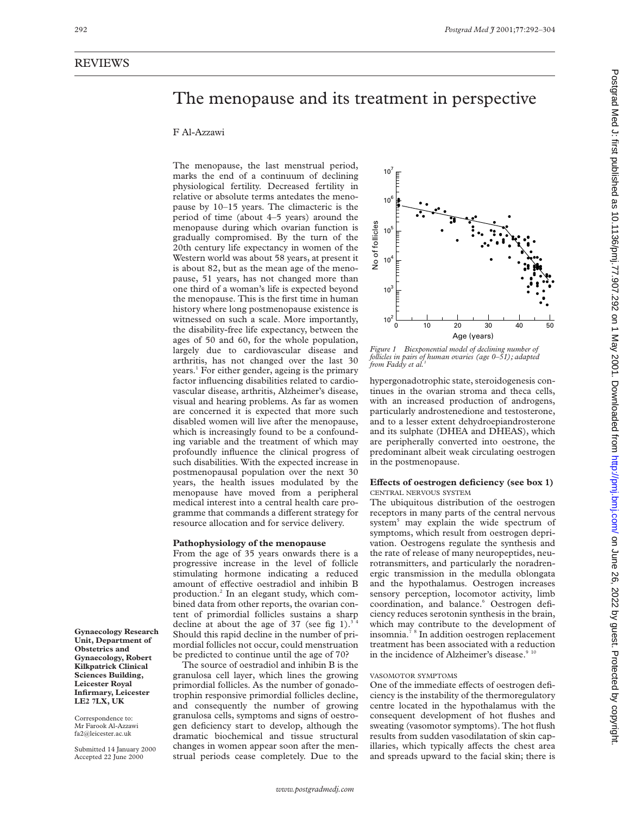# REVIEWS

# The menopause and its treatment in perspective

# F Al-Azzawi

The menopause, the last menstrual period, marks the end of a continuum of declining physiological fertility. Decreased fertility in relative or absolute terms antedates the menopause by 10–15 years. The climacteric is the period of time (about 4–5 years) around the menopause during which ovarian function is gradually compromised. By the turn of the 20th century life expectancy in women of the Western world was about 58 years, at present it is about 82, but as the mean age of the menopause, 51 years, has not changed more than one third of a woman's life is expected beyond the menopause. This is the first time in human history where long postmenopause existence is witnessed on such a scale. More importantly, the disability-free life expectancy, between the ages of 50 and 60, for the whole population, largely due to cardiovascular disease and arthritis, has not changed over the last 30 years.1 For either gender, ageing is the primary factor influencing disabilities related to cardiovascular disease, arthritis, Alzheimer's disease, visual and hearing problems. As far as women are concerned it is expected that more such disabled women will live after the menopause, which is increasingly found to be a confounding variable and the treatment of which may profoundly influence the clinical progress of such disabilities. With the expected increase in postmenopausal population over the next 30 years, the health issues modulated by the menopause have moved from a peripheral medical interest into a central health care programme that commands a different strategy for resource allocation and for service delivery.

## **Pathophysiology of the menopause**

From the age of 35 years onwards there is a progressive increase in the level of follicle stimulating hormone indicating a reduced amount of effective oestradiol and inhibin B production.2 In an elegant study, which combined data from other reports, the ovarian content of primordial follicles sustains a sharp decline at about the age of 37 (see fig 1).<sup>3</sup> Should this rapid decline in the number of primordial follicles not occur, could menstruation be predicted to continue until the age of 70?

The source of oestradiol and inhibin B is the granulosa cell layer, which lines the growing primordial follicles. As the number of gonadotrophin responsive primordial follicles decline, and consequently the number of growing granulosa cells, symptoms and signs of oestrogen deficiency start to develop, although the dramatic biochemical and tissue structural changes in women appear soon after the menstrual periods cease completely. Due to the



*Figure 1 Biexponential model of declining number of follicles in pairs of human ovaries (age 0–51); adapted from Faddy et al.*<sup>3</sup>

hypergonadotrophic state, steroidogenesis continues in the ovarian stroma and theca cells, with an increased production of androgens, particularly androstenedione and testosterone, and to a lesser extent dehydroepiandrosterone and its sulphate (DHEA and DHEAS), which are peripherally converted into oestrone, the predominant albeit weak circulating oestrogen in the postmenopause.

#### Effects of oestrogen deficiency (see box 1) CENTRAL NERVOUS SYSTEM

The ubiquitous distribution of the oestrogen receptors in many parts of the central nervous system<sup>5</sup> may explain the wide spectrum of symptoms, which result from oestrogen deprivation. Oestrogens regulate the synthesis and the rate of release of many neuropeptides, neurotransmitters, and particularly the noradrenergic transmission in the medulla oblongata and the hypothalamus. Oestrogen increases sensory perception, locomotor activity, limb coordination, and balance.<sup>6</sup> Oestrogen deficiency reduces serotonin synthesis in the brain, which may contribute to the development of insomnia.7 8 In addition oestrogen replacement treatment has been associated with a reduction in the incidence of Alzheimer's disease.<sup>9 10</sup>

#### VASOMOTOR SYMPTOMS

One of the immediate effects of oestrogen deficiency is the instability of the thermoregulatory centre located in the hypothalamus with the consequent development of hot flushes and sweating (vasomotor symptoms). The hot flush results from sudden vasodilatation of skin capillaries, which typically affects the chest area and spreads upward to the facial skin; there is

**Unit, Department of Obstetrics and Gynaecology, Robert Kilkpatrick Clinical Sciences Building, Leicester Royal Infirmary, Leicester LE2 7LX, UK**

**Gynaecology Research**

Correspondence to: Mr Farook Al-Azzawi fa2@leicester.ac.uk

Submitted 14 January 2000 Accepted 22 June 2000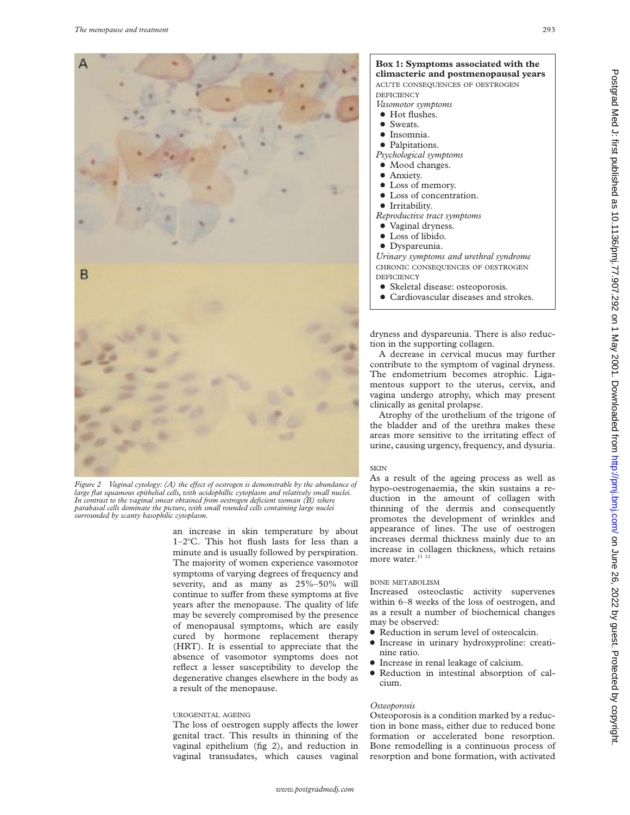

*Figure 2 Vaginal cytology: (A) the eVect of oestrogen is demonstrable by the abundance of large flat squamous epithelial cells, with acidophillic cytoplasm and relatively small nuclei. In contrast to the vaginal smear obtained from oestrogen deficient woman (B) where parabasal cells dominate the picture, with small rounded cells containing large nuclei surrounded by scanty basophilic cytoplasm.*

an increase in skin temperature by about 1-2°C. This hot flush lasts for less than a minute and is usually followed by perspiration. The majority of women experience vasomotor symptoms of varying degrees of frequency and severity, and as many as 25%–50% will continue to suffer from these symptoms at five years after the menopause. The quality of life may be severely compromised by the presence of menopausal symptoms, which are easily cured by hormone replacement therapy (HRT). It is essential to appreciate that the absence of vasomotor symptoms does not reflect a lesser susceptibility to develop the degenerative changes elsewhere in the body as a result of the menopause.

# UROGENITAL AGEING

The loss of oestrogen supply affects the lower genital tract. This results in thinning of the vaginal epithelium (fig 2), and reduction in vaginal transudates, which causes vaginal



- Skeletal disease: osteoporosis.
- Cardiovascular diseases and strokes.

dryness and dyspareunia. There is also reduction in the supporting collagen.

A decrease in cervical mucus may further contribute to the symptom of vaginal dryness. The endometrium becomes atrophic. Ligamentous support to the uterus, cervix, and vagina undergo atrophy, which may present clinically as genital prolapse.

Atrophy of the urothelium of the trigone of the bladder and of the urethra makes these areas more sensitive to the irritating effect of urine, causing urgency, frequency, and dysuria.

# SKIN

As a result of the ageing process as well as hypo-oestrogenaemia, the skin sustains a reduction in the amount of collagen with thinning of the dermis and consequently promotes the development of wrinkles and appearance of lines. The use of oestrogen increases dermal thickness mainly due to an increase in collagen thickness, which retains more water.<sup>11 12</sup>

## BONE METABOLISM

Increased osteoclastic activity supervenes within 6–8 weeks of the loss of oestrogen, and as a result a number of biochemical changes may be observed:

- Reduction in serum level of osteocalcin.
- x Increase in urinary hydroxyproline: creatinine ratio.
- Increase in renal leakage of calcium.
- x Reduction in intestinal absorption of calcium.

# *Osteoporosis*

Osteoporosis is a condition marked by a reduction in bone mass, either due to reduced bone formation or accelerated bone resorption. Bone remodelling is a continuous process of resorption and bone formation, with activated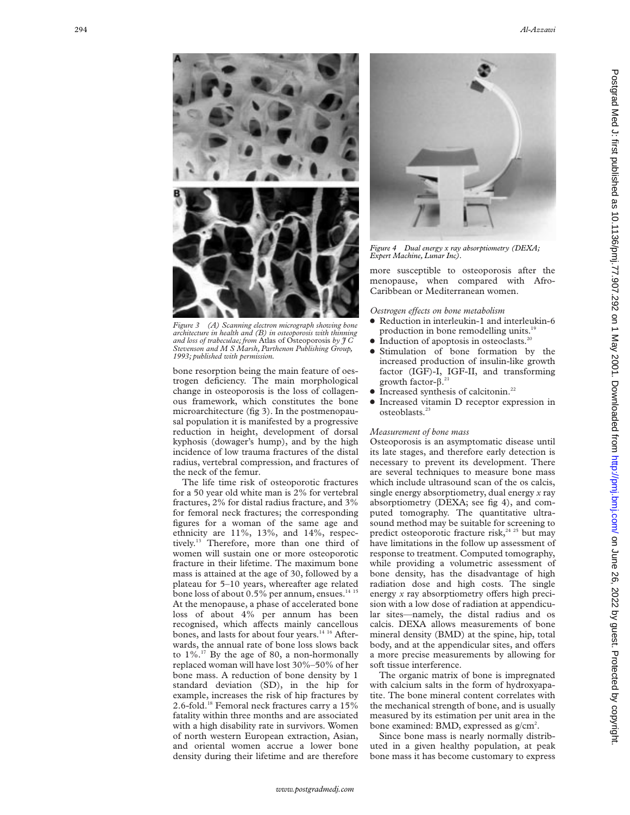

*Figure 3 (A) Scanning electron micrograph showing bone architecture in health and (B) in osteoporosis with thinning and loss of trabeculae; from* Atlas of Osteoporosis *by J C Stevenson and M S Marsh, Parthenon Publishing Group, 1993; published with permission.*

bone resorption being the main feature of oestrogen deficiency. The main morphological change in osteoporosis is the loss of collagenous framework, which constitutes the bone microarchitecture (fig 3). In the postmenopausal population it is manifested by a progressive reduction in height, development of dorsal kyphosis (dowager's hump), and by the high incidence of low trauma fractures of the distal radius, vertebral compression, and fractures of the neck of the femur.

The life time risk of osteoporotic fractures for a 50 year old white man is 2% for vertebral fractures, 2% for distal radius fracture, and 3% for femoral neck fractures; the corresponding figures for a woman of the same age and ethnicity are 11%, 13%, and 14%, respectively.13 Therefore, more than one third of women will sustain one or more osteoporotic fracture in their lifetime. The maximum bone mass is attained at the age of 30, followed by a plateau for 5–10 years, whereafter age related bone loss of about 0.5% per annum, ensues.<sup>14 15</sup> At the menopause, a phase of accelerated bone loss of about 4% per annum has been recognised, which affects mainly cancellous bones, and lasts for about four years.<sup>14 16</sup> Afterwards, the annual rate of bone loss slows back to  $1\%$ .<sup>17</sup> By the age of 80, a non-hormonally replaced woman will have lost 30%–50% of her bone mass. A reduction of bone density by 1 standard deviation (SD), in the hip for example, increases the risk of hip fractures by 2.6-fold.<sup>18</sup> Femoral neck fractures carry a 15% fatality within three months and are associated with a high disability rate in survivors. Women of north western European extraction, Asian, and oriental women accrue a lower bone density during their lifetime and are therefore



*Figure 4 Dual energy x ray absorptiometry (DEXA; Expert Machine, Lunar Inc).*

more susceptible to osteoporosis after the menopause, when compared with Afro-Caribbean or Mediterranean women.

*Oestrogen effects on bone metabolism* 

- Reduction in interleukin-1 and interleukin-6 production in bone remodelling units.<sup>1</sup>
- $\bullet$  Induction of apoptosis in osteoclasts.<sup>20</sup>
- Stimulation of bone formation by the increased production of insulin-like growth factor (IGF)-I, IGF-II, and transforming growth factor- $\beta$ .<sup>21</sup>
- $\bullet$  Increased synthesis of calcitonin.<sup>22</sup>
- x Increased vitamin D receptor expression in osteoblasts.<sup>23</sup>

#### *Measurement of bone mass*

Osteoporosis is an asymptomatic disease until its late stages, and therefore early detection is necessary to prevent its development. There are several techniques to measure bone mass which include ultrasound scan of the os calcis, single energy absorptiometry, dual energy *x* ray absorptiometry (DEXA; see fig 4), and computed tomography. The quantitative ultrasound method may be suitable for screening to predict osteoporotic fracture risk, $24$   $25$  but may have limitations in the follow up assessment of response to treatment. Computed tomography, while providing a volumetric assessment of bone density, has the disadvantage of high radiation dose and high costs. The single energy x ray absorptiometry offers high precision with a low dose of radiation at appendicular sites—namely, the distal radius and os calcis. DEXA allows measurements of bone mineral density (BMD) at the spine, hip, total body, and at the appendicular sites, and offers a more precise measurements by allowing for soft tissue interference.

The organic matrix of bone is impregnated with calcium salts in the form of hydroxyapatite. The bone mineral content correlates with the mechanical strength of bone, and is usually measured by its estimation per unit area in the bone examined: BMD, expressed as  $g/cm<sup>2</sup>$ .

Since bone mass is nearly normally distributed in a given healthy population, at peak bone mass it has become customary to express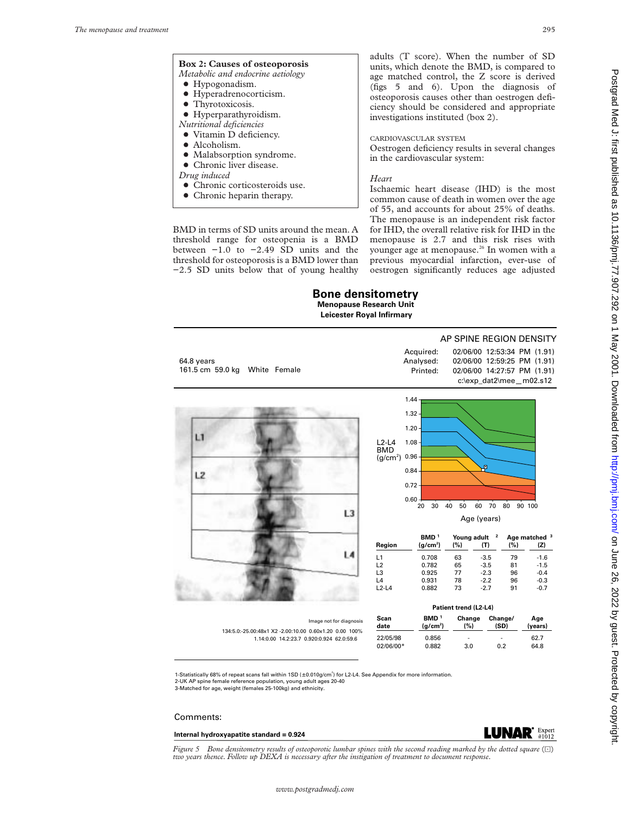## **Box 2: Causes of osteoporosis** *Metabolic and endocrine aetiology*

 $\bullet$  Hypogonadism.

- $\bullet$  Hyperadrenocorticism.
- Thyrotoxicosis.
- $\bullet$  Hyperparathyroidism.
- 
- *Nutritional deficiencies*
- Vitamin D deficiency. • Alcoholism.
- 
- Malabsorption syndrome.
- Chronic liver disease.
- *Drug induced*
- $\bullet$  Chronic corticosteroids use.
- $\bullet$  Chronic heparin therapy.

BMD in terms of SD units around the mean. A threshold range for osteopenia is a BMD between −1.0 to −2.49 SD units and the threshold for osteoporosis is a BMD lower than −2.5 SD units below that of young healthy adults (T score). When the number of SD units, which denote the BMD, is compared to age matched control, the Z score is derived (figs 5 and 6). Upon the diagnosis of osteoporosis causes other than oestrogen deficiency should be considered and appropriate investigations instituted (box 2).

CARDIOVASCULAR SYSTEM

Oestrogen deficiency results in several changes in the cardiovascular system:

# *Heart*

Ischaemic heart disease (IHD) is the most common cause of death in women over the age of 55, and accounts for about 25% of deaths. The menopause is an independent risk factor for IHD, the overall relative risk for IHD in the menopause is 2.7 and this risk rises with younger age at menopause.<sup>26</sup> In women with a previous myocardial infarction, ever-use of oestrogen significantly reduces age adjusted

# **Bone densitometry Menopause Research Unit Leicester Royal Infirmary**

AP SPINE REGION DENSITY Acquired: 02/06/00 12:53:34 PM (1.91)<br>Analysed: 02/06/00 12:59:25 PM (1.91) 64.8 years 02/06/00 12:59:25 PM (1.91) 161.5 cm 59.0 kg White Female Printed: 02/06/00 14:27:57 PM (1.91) c:\exp\_dat2\mee—m02.s12 1.44 1.32 1.20 LI L2-L4 1.08 BMD (g/cm2 ) 0.96 0.84 L<sub>2</sub> 0.72 0.60 20 30 40 50 60 70 80 90 100 L<sub>3</sub> Age (years) **BMD 1 Young adult 2 Age matched 3 Region ) (%) (T) (%) (Z)** L4 L1 0.708 63 -3.5 79 -1.6 L2 0.782 65 -3.5 81 -1.5 L3 0.925 77 -2.3 96 -0.4 L4 0.931 78 -2.2 96 -0.3

|                                                                                                     | L4<br>$L2-L4$ | 0.931<br>0.882                           | 78<br>73      | 96<br>$-2.2$<br>$-2.7$<br>91 | $-0.3$<br>$-0.7$ |  |
|-----------------------------------------------------------------------------------------------------|---------------|------------------------------------------|---------------|------------------------------|------------------|--|
|                                                                                                     |               | Patient trend (L2-L4)                    |               |                              |                  |  |
| Image not for diagnosis                                                                             | Scan<br>date  | BMD <sup>1</sup><br>(g/cm <sup>2</sup> ) | Change<br>(%) | Change/<br>(SD)              | Age<br>(years)   |  |
| 134:5.0:-25.00:48x1 X2 -2.00:10.00 0.60x1.20 0.00 100%<br>1.14:0.00 14.2:23.7 0.920:0.924 62.0:59.6 | 22/05/98      | 0.856                                    | ٠             |                              | 62.7             |  |
|                                                                                                     | $02/06/00*$   | 0.882                                    | 3.0           | 0.2                          | 64.8             |  |

1-Statistically 68% of repeat scans fall within 1SD (± 0.010g/cm<sup>2</sup>) for L2-L4. See Appendix for more information. 2-UK AP spine female reference population, young adult ages 20-40 3-Matched for age, weight (females 25-100kg) and ethnicity.

#### Comments:

#### **Internal hydroxyapatite standard = 0.924**



*Figure 5* Bone densitometry results of osteoporotic lumbar spines with the second reading marked by the dotted square ( $\Box$ ) *two years thence. Follow up DEXA is necessary after the instigation of treatment to document response.*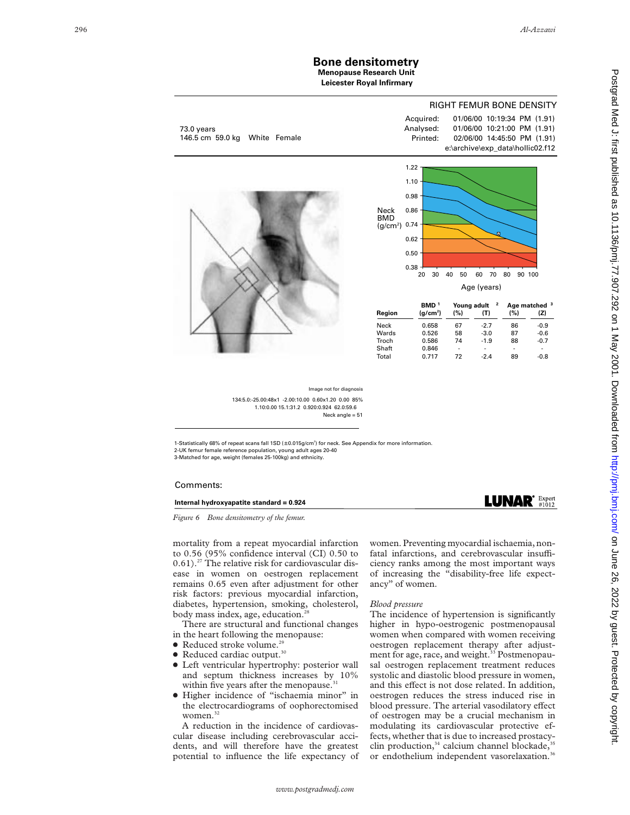## **Bone densitometry Menopause Research Unit**

**Leicester Royal Infirmary**



#### Comments:

## **Internal hydroxyapatite standard = 0.924**

*Figure 6 Bone densitometry of the femur.*

mortality from a repeat myocardial infarction to 0.56 (95% confidence interval (CI) 0.50 to 0.61).<sup>27</sup> The relative risk for cardiovascular disease in women on oestrogen replacement remains 0.65 even after adjustment for other risk factors: previous myocardial infarction, diabetes, hypertension, smoking, cholesterol, body mass index, age, education.<sup>2</sup>

There are structural and functional changes in the heart following the menopause:

- $\bullet$  Reduced stroke volume.<sup>29</sup>
- $\bullet$  Reduced cardiac output.<sup>30</sup>
- Left ventricular hypertrophy: posterior wall and septum thickness increases by 10% within five years after the menopause.<sup>3</sup>
- x Higher incidence of "ischaemia minor" in the electrocardiograms of oophorectomised women.<sup>32</sup>

A reduction in the incidence of cardiovascular disease including cerebrovascular accidents, and will therefore have the greatest potential to influence the life expectancy of women. Preventing myocardial ischaemia, nonfatal infarctions, and cerebrovascular insufficiency ranks among the most important ways of increasing the "disability-free life expectancy" of women.

**LUNAR**<sup>®</sup> Expert

#### *Blood pressure*

The incidence of hypertension is significantly higher in hypo-oestrogenic postmenopausal women when compared with women receiving oestrogen replacement therapy after adjustment for age, race, and weight.<sup>33</sup> Postmenopausal oestrogen replacement treatment reduces systolic and diastolic blood pressure in women, and this effect is not dose related. In addition, oestrogen reduces the stress induced rise in blood pressure. The arterial vasodilatory effect of oestrogen may be a crucial mechanism in modulating its cardiovascular protective effects, whether that is due to increased prostacyclin production, $34$  calcium channel blockade, $35$ or endothelium independent vasorelaxation.<sup>36</sup>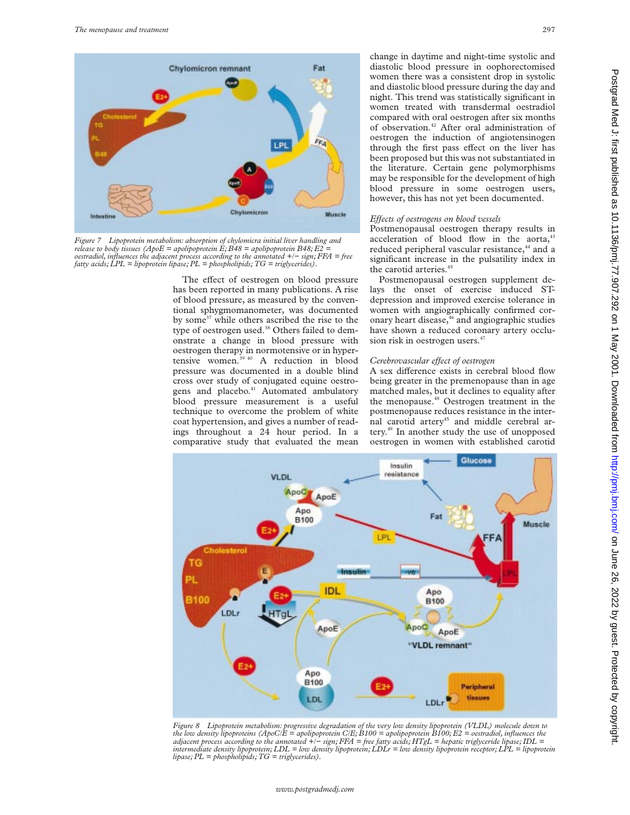

*Figure 7 Lipoprotein metabolism: absorption of chylomicra initial liver handling and release to body tissues (ApoE = apolipoprotein E; B48 = apolipoprotein B48; E2 oestradiol, influences the adjacent process according to the annotated +/− sign; FFA = free fatty acids; LPL = lipoprotein lipase; PL = phospholipids; TG = triglycerides).*

The effect of oestrogen on blood pressure has been reported in many publications. A rise of blood pressure, as measured by the conventional sphygmomanometer, was documented by some $37$  while others ascribed the rise to the type of oestrogen used.<sup>38</sup> Others failed to demonstrate a change in blood pressure with oestrogen therapy in normotensive or in hypertensive women.39 40 A reduction in blood pressure was documented in a double blind cross over study of conjugated equine oestrogens and placebo.<sup>41</sup> Automated ambulatory blood pressure measurement is a useful technique to overcome the problem of white coat hypertension, and gives a number of readings throughout a 24 hour period. In a comparative study that evaluated the mean change in daytime and night-time systolic and diastolic blood pressure in oophorectomised women there was a consistent drop in systolic and diastolic blood pressure during the day and night. This trend was statistically significant in women treated with transdermal oestradiol compared with oral oestrogen after six months of observation.42 After oral administration of oestrogen the induction of angiotensinogen through the first pass effect on the liver has been proposed but this was not substantiated in the literature. Certain gene polymorphisms may be responsible for the development of high blood pressure in some oestrogen users, however, this has not yet been documented.

# *Effects of oestrogens on blood vessels*

Postmenopausal oestrogen therapy results in acceleration of blood flow in the aorta, $4$ reduced peripheral vascular resistance,<sup>44</sup> and a significant increase in the pulsatility index in the carotid arteries.<sup>45</sup>

Postmenopausal oestrogen supplement delays the onset of exercise induced STdepression and improved exercise tolerance in women with angiographically confirmed coronary heart disease,<sup>46</sup> and angiographic studies have shown a reduced coronary artery occlusion risk in oestrogen users.<sup>47</sup>

#### *Cerebrovascular effect of oestrogen*

A sex difference exists in cerebral blood flow being greater in the premenopause than in age matched males, but it declines to equality after the menopause.<sup>48</sup> Oestrogen treatment in the postmenopause reduces resistance in the internal carotid artery<sup>45</sup> and middle cerebral artery.49 In another study the use of unopposed oestrogen in women with established carotid



Figure 8 Lipoprotein metabolism: progressive degradation of the very low density lipoprotein (VLDL) molecule down to<br>the low density lipoproteins (ApoC/E = apolipoprotein C/E; B100 = apolipoprotein B100; E2 = oestradiol, i *adjacent process according to the annotated +/− sign; FFA = free fatty acids; HTgL = hepatic triglyceride lipase; IDL = intermediate density lipoprotein; LDL = low density lipoprotein; LDLr = low density lipoprotein receptor; LPL = lipoprotein lipase; PL = phospholipids; TG = triglycerides).*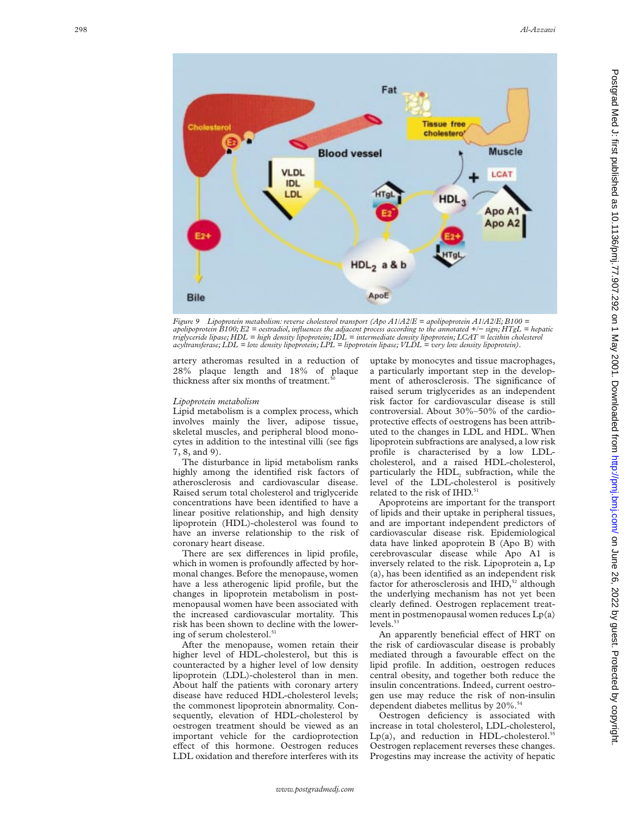

*Figure 9 Lipoprotein metabolism: reverse cholesterol transport (Apo A1/A2/E = apolipoprotein A1/A2/E; B100 = apolipoprotein B100; E2 = oestradiol, influences the adjacent process according to the annotated +/− sign; HTgL = hepatic triglyceride lipase; HDL = high density lipoprotein; IDL = intermediate density lipoprotein; LCAT = lecithin cholesterol acyltransferase; LDL = low density lipoprotein; LPL = lipoprotein lipase; VLDL = very low density lipoprotein).*

artery atheromas resulted in a reduction of 28% plaque length and 18% of plaque thickness after six months of treatment.<sup>5</sup>

#### *Lipoprotein metabolism*

Lipid metabolism is a complex process, which involves mainly the liver, adipose tissue, skeletal muscles, and peripheral blood monocytes in addition to the intestinal villi (see figs 7, 8, and 9).

The disturbance in lipid metabolism ranks highly among the identified risk factors of atherosclerosis and cardiovascular disease. Raised serum total cholesterol and triglyceride concentrations have been identified to have a linear positive relationship, and high density lipoprotein (HDL)-cholesterol was found to have an inverse relationship to the risk of coronary heart disease.

There are sex differences in lipid profile, which in women is profoundly affected by hormonal changes. Before the menopause, women have a less atherogenic lipid profile, but the changes in lipoprotein metabolism in postmenopausal women have been associated with the increased cardiovascular mortality. This risk has been shown to decline with the lowering of serum cholesterol.<sup>51</sup>

After the menopause, women retain their higher level of HDL-cholesterol, but this is counteracted by a higher level of low density lipoprotein (LDL)-cholesterol than in men. About half the patients with coronary artery disease have reduced HDL-cholesterol levels; the commonest lipoprotein abnormality. Consequently, elevation of HDL-cholesterol by oestrogen treatment should be viewed as an important vehicle for the cardioprotection effect of this hormone. Oestrogen reduces LDL oxidation and therefore interferes with its

uptake by monocytes and tissue macrophages, a particularly important step in the development of atherosclerosis. The significance of raised serum triglycerides as an independent risk factor for cardiovascular disease is still controversial. About 30%–50% of the cardioprotective effects of oestrogens has been attributed to the changes in LDL and HDL. When lipoprotein subfractions are analysed, a low risk profile is characterised by a low LDLcholesterol, and a raised HDL-cholesterol, particularly the HDL <sup>2</sup> subfraction, while the level of the LDL-cholesterol is positively related to the risk of IHD.<sup>51</sup>

Apoproteins are important for the transport of lipids and their uptake in peripheral tissues, and are important independent predictors of cardiovascular disease risk. Epidemiological data have linked apoprotein B (Apo B) with cerebrovascular disease while Apo A1 is inversely related to the risk. Lipoprotein a, Lp (a), has been identified as an independent risk factor for atherosclerosis and  $IHD$ <sup>52</sup> although the underlying mechanism has not yet been clearly defined. Oestrogen replacement treatment in postmenopausal women reduces Lp(a) levels.<sup>53</sup>

An apparently beneficial effect of HRT on the risk of cardiovascular disease is probably mediated through a favourable effect on the lipid profile. In addition, oestrogen reduces central obesity, and together both reduce the insulin concentrations. Indeed, current oestrogen use may reduce the risk of non-insulin dependent diabetes mellitus by  $20\%$ .<sup>54</sup>

Oestrogen deficiency is associated with increase in total cholesterol, LDL-cholesterol,  $Lp(a)$ , and reduction in HDL-cholesterol.<sup>55</sup> Oestrogen replacement reverses these changes. Progestins may increase the activity of hepatic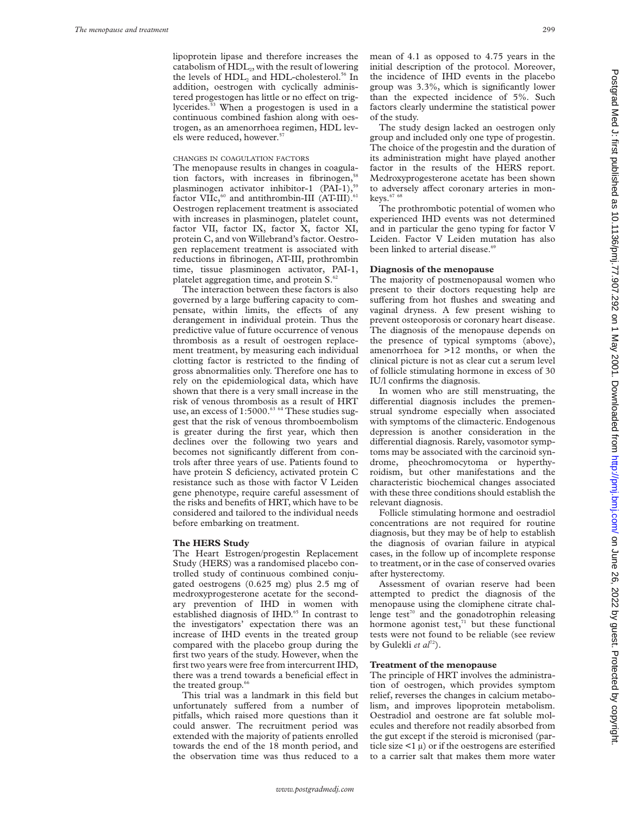lipoprotein lipase and therefore increases the catabolism of HDL<sub>2</sub>, with the result of lowering the levels of HDL<sub>2</sub> and HDL-cholesterol.<sup>56</sup> In addition, oestrogen with cyclically administered progestogen has little or no effect on triglycerides.<sup>53</sup> When a progestogen is used in a continuous combined fashion along with oestrogen, as an amenorrhoea regimen, HDL levels were reduced, however.<sup>57</sup>

### CHANGES IN COAGULATION FACTORS

The menopause results in changes in coagulation factors, with increases in fibrinogen,<sup>5</sup> plasminogen activator inhibitor-1 (PAI-1),<sup>59</sup> factor VIIc,<sup>60</sup> and antithrombin-III (AT-III).<sup>61</sup> Oestrogen replacement treatment is associated with increases in plasminogen, platelet count, factor VII, factor IX, factor X, factor XI, protein C, and von Willebrand's factor. Oestrogen replacement treatment is associated with reductions in fibrinogen, AT-III, prothrombin time, tissue plasminogen activator, PAI-1, platelet aggregation time, and protein S.<sup>62</sup>

The interaction between these factors is also governed by a large buffering capacity to compensate, within limits, the effects of any derangement in individual protein. Thus the predictive value of future occurrence of venous thrombosis as a result of oestrogen replacement treatment, by measuring each individual clotting factor is restricted to the finding of gross abnormalities only. Therefore one has to rely on the epidemiological data, which have shown that there is a very small increase in the risk of venous thrombosis as a result of HRT use, an excess of 1:5000.<sup>63 64</sup> These studies suggest that the risk of venous thromboembolism is greater during the first year, which then declines over the following two years and becomes not significantly different from controls after three years of use. Patients found to have protein S deficiency, activated protein C resistance such as those with factor V Leiden gene phenotype, require careful assessment of the risks and benefits of HRT, which have to be considered and tailored to the individual needs before embarking on treatment.

#### **The HERS Study**

The Heart Estrogen/progestin Replacement Study (HERS) was a randomised placebo controlled study of continuous combined conjugated oestrogens (0.625 mg) plus 2.5 mg of medroxyprogesterone acetate for the secondary prevention of IHD in women with established diagnosis of IHD.<sup>65</sup> In contrast to the investigators' expectation there was an increase of IHD events in the treated group compared with the placebo group during the first two years of the study. However, when the first two years were free from intercurrent IHD, there was a trend towards a beneficial effect in the treated group.<sup>6</sup>

This trial was a landmark in this field but unfortunately suffered from a number of pitfalls, which raised more questions than it could answer. The recruitment period was extended with the majority of patients enrolled towards the end of the 18 month period, and the observation time was thus reduced to a

mean of 4.1 as opposed to 4.75 years in the initial description of the protocol. Moreover, the incidence of IHD events in the placebo group was 3.3%, which is significantly lower than the expected incidence of 5%. Such factors clearly undermine the statistical power of the study.

The study design lacked an oestrogen only group and included only one type of progestin. The choice of the progestin and the duration of its administration might have played another factor in the results of the HERS report. Medroxyprogesterone acetate has been shown to adversely affect coronary arteries in monkeys. $67.68$ 

The prothrombotic potential of women who experienced IHD events was not determined and in particular the geno typing for factor V Leiden. Factor V Leiden mutation has also been linked to arterial disease.<sup>69</sup>

## **Diagnosis of the menopause**

The majority of postmenopausal women who present to their doctors requesting help are suffering from hot flushes and sweating and vaginal dryness. A few present wishing to prevent osteoporosis or coronary heart disease. The diagnosis of the menopause depends on the presence of typical symptoms (above), amenorrhoea for >12 months, or when the clinical picture is not as clear cut a serum level of follicle stimulating hormone in excess of 30 IU/l confirms the diagnosis.

In women who are still menstruating, the differential diagnosis includes the premenstrual syndrome especially when associated with symptoms of the climacteric. Endogenous depression is another consideration in the differential diagnosis. Rarely, vasomotor symptoms may be associated with the carcinoid syndrome, pheochromocytoma or hyperthyroidism, but other manifestations and the characteristic biochemical changes associated with these three conditions should establish the relevant diagnosis.

Follicle stimulating hormone and oestradiol concentrations are not required for routine diagnosis, but they may be of help to establish the diagnosis of ovarian failure in atypical cases, in the follow up of incomplete response to treatment, or in the case of conserved ovaries after hysterectomy.

Assessment of ovarian reserve had been attempted to predict the diagnosis of the menopause using the clomiphene citrate challenge test<sup>70</sup> and the gonadotrophin releasing hormone agonist test, $\frac{3}{1}$  but these functional tests were not found to be reliable (see review by Gulekli *et al*<sup>72</sup>).

#### **Treatment of the menopause**

The principle of HRT involves the administration of oestrogen, which provides symptom relief, reverses the changes in calcium metabolism, and improves lipoprotein metabolism. Oestradiol and oestrone are fat soluble molecules and therefore not readily absorbed from the gut except if the steroid is micronised (particle size  $\langle 1 \mu \rangle$  or if the oestrogens are esterified to a carrier salt that makes them more water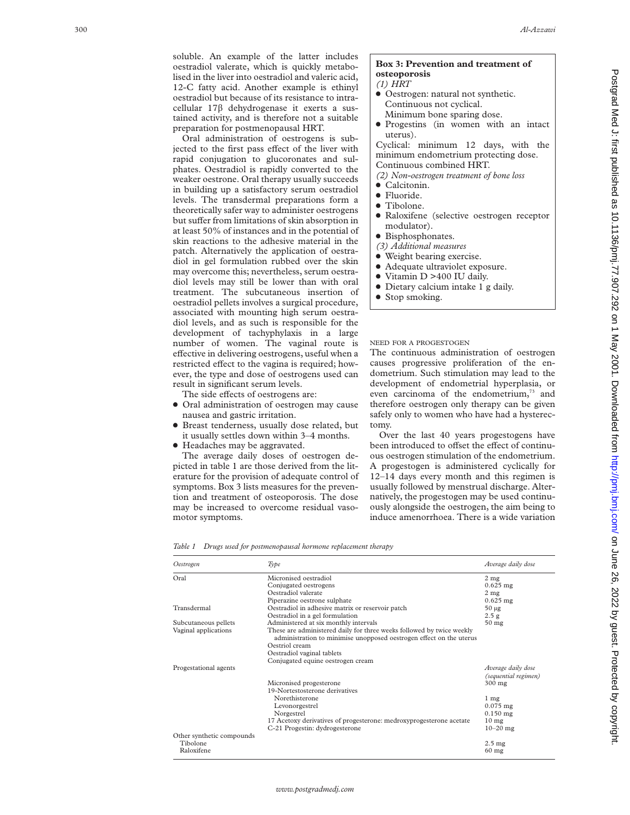soluble. An example of the latter includes oestradiol valerate, which is quickly metabolised in the liver into oestradiol and valeric acid, 12-C fatty acid. Another example is ethinyl oestradiol but because of its resistance to intracellular  $17\beta$  dehydrogenase it exerts a sustained activity, and is therefore not a suitable preparation for postmenopausal HRT.

Oral administration of oestrogens is subjected to the first pass effect of the liver with rapid conjugation to glucoronates and sulphates. Oestradiol is rapidly converted to the weaker oestrone. Oral therapy usually succeeds in building up a satisfactory serum oestradiol levels. The transdermal preparations form a theoretically safer way to administer oestrogens but suffer from limitations of skin absorption in at least 50% of instances and in the potential of skin reactions to the adhesive material in the patch. Alternatively the application of oestradiol in gel formulation rubbed over the skin may overcome this; nevertheless, serum oestradiol levels may still be lower than with oral treatment. The subcutaneous insertion of oestradiol pellets involves a surgical procedure, associated with mounting high serum oestradiol levels, and as such is responsible for the development of tachyphylaxis in a large number of women. The vaginal route is effective in delivering oestrogens, useful when a restricted effect to the vagina is required; however, the type and dose of oestrogens used can result in significant serum levels.

The side effects of oestrogens are:

- Oral administration of oestrogen may cause nausea and gastric irritation.
- Breast tenderness, usually dose related, but it usually settles down within 3–4 months.
- Headaches may be aggravated.

The average daily doses of oestrogen depicted in table 1 are those derived from the literature for the provision of adequate control of symptoms. Box 3 lists measures for the prevention and treatment of osteoporosis. The dose may be increased to overcome residual vasomotor symptoms.

|  |  | Table 1 Drugs used for postmenopausal hormone replacement therapy |  |
|--|--|-------------------------------------------------------------------|--|
|--|--|-------------------------------------------------------------------|--|

| Oestrogen                 | Type                                                                                                                                         | Average daily dose                                |
|---------------------------|----------------------------------------------------------------------------------------------------------------------------------------------|---------------------------------------------------|
| Oral                      | Micronised oestradiol                                                                                                                        | $2 \text{ mg}$                                    |
|                           | Conjugated oestrogens                                                                                                                        | $0.625$ mg                                        |
|                           | Oestradiol valerate                                                                                                                          | 2 <sub>mg</sub>                                   |
|                           | Piperazine oestrone sulphate                                                                                                                 | $0.625$ mg                                        |
| Transdermal               | Oestradiol in adhesive matrix or reservoir patch                                                                                             | $50 \mu g$                                        |
|                           | Oestradiol in a gel formulation                                                                                                              | 2.5 <sub>g</sub>                                  |
| Subcutaneous pellets      | Administered at six monthly intervals                                                                                                        | $50$ mg                                           |
| Vaginal applications      | These are administered daily for three weeks followed by twice weekly<br>administration to minimise unopposed oestrogen effect on the uterus |                                                   |
|                           | Oestriol cream                                                                                                                               |                                                   |
|                           | Oestradiol vaginal tablets                                                                                                                   |                                                   |
|                           | Conjugated equine oestrogen cream                                                                                                            |                                                   |
| Progestational agents     |                                                                                                                                              | Average daily dose<br><i>(sequential regimen)</i> |
|                           | Micronised progesterone                                                                                                                      | $300$ mg                                          |
|                           | 19-Nortestosterone derivatives                                                                                                               |                                                   |
|                           | Norethisterone                                                                                                                               | $1 \text{ mg}$                                    |
|                           | Levonorgestrel                                                                                                                               | $0.075$ mg                                        |
|                           | Norgestrel                                                                                                                                   | $0.150$ mg                                        |
|                           | 17 Acetoxy derivatives of progesterone: medroxyprogesterone acetate                                                                          | $10 \text{ mg}$                                   |
|                           | C-21 Progestin: dydrogesterone                                                                                                               | $10 - 20$ mg                                      |
| Other synthetic compounds |                                                                                                                                              |                                                   |
| Tibolone                  |                                                                                                                                              | $2.5 \text{ mg}$                                  |
| Raloxifene                |                                                                                                                                              | $60$ mg                                           |

# **Box 3: Prevention and treatment of osteoporosis**

*(1) HRT*

- Oestrogen: natural not synthetic. Continuous not cyclical.
- Minimum bone sparing dose. x Progestins (in women with an intact

uterus). Cyclical: minimum 12 days, with the minimum endometrium protecting dose. Continuous combined HRT.

*(2) Non-oestrogen treatment of bone loss*

- $\bullet$  Calcitonin.
- $\bullet$  Fluoride.
- Tibolone.
- Raloxifene (selective oestrogen receptor modulator).
- $\bullet$  Bisphosphonates.
- *(3) Additional measures*
- Weight bearing exercise.
- Adequate ultraviolet exposure.
- Vitamin D >400 IU daily.
- Dietary calcium intake 1 g daily.
- $\bullet$  Stop smoking.

NEED FOR A PROGESTOGEN

The continuous administration of oestrogen causes progressive proliferation of the endometrium. Such stimulation may lead to the development of endometrial hyperplasia, or even carcinoma of the endometrium,<sup>73</sup> and therefore oestrogen only therapy can be given safely only to women who have had a hysterectomy.

Over the last 40 years progestogens have been introduced to offset the effect of continuous oestrogen stimulation of the endometrium. A progestogen is administered cyclically for 12–14 days every month and this regimen is usually followed by menstrual discharge. Alternatively, the progestogen may be used continuously alongside the oestrogen, the aim being to induce amenorrhoea. There is a wide variation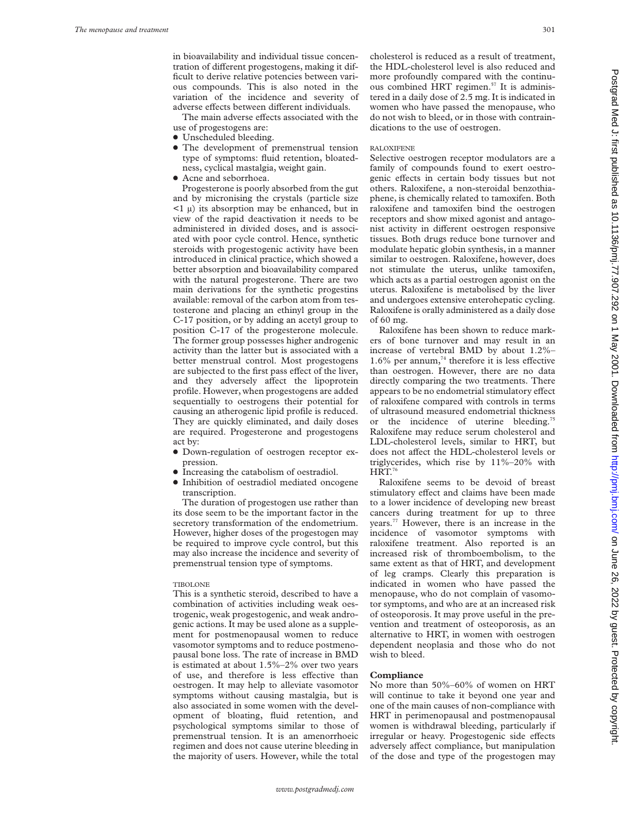in bioavailability and individual tissue concentration of different progestogens, making it difficult to derive relative potencies between various compounds. This is also noted in the variation of the incidence and severity of adverse effects between different individuals.

The main adverse effects associated with the use of progestogens are:

- Unscheduled bleeding.
- $\bullet$  The development of premenstrual tension type of symptoms: fluid retention, bloatedness, cyclical mastalgia, weight gain.
- Acne and seborrhoea.

Progesterone is poorly absorbed from the gut and by micronising the crystals (particle size  $\leq 1$   $\mu$ ) its absorption may be enhanced, but in view of the rapid deactivation it needs to be administered in divided doses, and is associated with poor cycle control. Hence, synthetic steroids with progestogenic activity have been introduced in clinical practice, which showed a better absorption and bioavailability compared with the natural progesterone. There are two main derivations for the synthetic progestins available: removal of the carbon atom from testosterone and placing an ethinyl group in the C-17 position, or by adding an acetyl group to position C-17 of the progesterone molecule. The former group possesses higher androgenic activity than the latter but is associated with a better menstrual control. Most progestogens are subjected to the first pass effect of the liver, and they adversely affect the lipoprotein profile. However, when progestogens are added sequentially to oestrogens their potential for causing an atherogenic lipid profile is reduced. They are quickly eliminated, and daily doses are required. Progesterone and progestogens act by:

- $\bullet$  Down-regulation of oestrogen receptor expression.
- Increasing the catabolism of oestradiol.
- Inhibition of oestradiol mediated oncogene transcription.

The duration of progestogen use rather than its dose seem to be the important factor in the secretory transformation of the endometrium. However, higher doses of the progestogen may be required to improve cycle control, but this may also increase the incidence and severity of premenstrual tension type of symptoms.

#### TIBOLONE

This is a synthetic steroid, described to have a combination of activities including weak oestrogenic, weak progestogenic, and weak androgenic actions. It may be used alone as a supplement for postmenopausal women to reduce vasomotor symptoms and to reduce postmenopausal bone loss. The rate of increase in BMD is estimated at about 1.5%–2% over two years of use, and therefore is less effective than oestrogen. It may help to alleviate vasomotor symptoms without causing mastalgia, but is also associated in some women with the development of bloating, fluid retention, and psychological symptoms similar to those of premenstrual tension. It is an amenorrhoeic regimen and does not cause uterine bleeding in the majority of users. However, while the total

cholesterol is reduced as a result of treatment, the HDL-cholesterol level is also reduced and more profoundly compared with the continuous combined HRT regimen.<sup>57</sup> It is administered in a daily dose of 2.5 mg. It is indicated in women who have passed the menopause, who do not wish to bleed, or in those with contraindications to the use of oestrogen.

#### RALOXIFENE

Selective oestrogen receptor modulators are a family of compounds found to exert oestrogenic effects in certain body tissues but not others. Raloxifene, a non-steroidal benzothiaphene, is chemically related to tamoxifen. Both raloxifene and tamoxifen bind the oestrogen receptors and show mixed agonist and antagonist activity in different oestrogen responsive tissues. Both drugs reduce bone turnover and modulate hepatic globin synthesis, in a manner similar to oestrogen. Raloxifene, however, does not stimulate the uterus, unlike tamoxifen, which acts as a partial oestrogen agonist on the uterus. Raloxifene is metabolised by the liver and undergoes extensive enterohepatic cycling. Raloxifene is orally administered as a daily dose of 60 mg.

Raloxifene has been shown to reduce markers of bone turnover and may result in an increase of vertebral BMD by about 1.2%– 1.6% per annum, $74$  therefore it is less effective than oestrogen. However, there are no data directly comparing the two treatments. There appears to be no endometrial stimulatory effect of raloxifene compared with controls in terms of ultrasound measured endometrial thickness or the incidence of uterine bleeding.75 Raloxifene may reduce serum cholesterol and LDL-cholesterol levels, similar to HRT, but does not affect the HDL-cholesterol levels or triglycerides, which rise by 11%–20% with  $HRT.^{76}$ 

Raloxifene seems to be devoid of breast stimulatory effect and claims have been made to a lower incidence of developing new breast cancers during treatment for up to three years.77 However, there is an increase in the incidence of vasomotor symptoms with raloxifene treatment. Also reported is an increased risk of thromboembolism, to the same extent as that of HRT, and development of leg cramps. Clearly this preparation is indicated in women who have passed the menopause, who do not complain of vasomotor symptoms, and who are at an increased risk of osteoporosis. It may prove useful in the prevention and treatment of osteoporosis, as an alternative to HRT, in women with oestrogen dependent neoplasia and those who do not wish to bleed.

# **Compliance**

No more than 50%–60% of women on HRT will continue to take it beyond one year and one of the main causes of non-compliance with HRT in perimenopausal and postmenopausal women is withdrawal bleeding, particularly if irregular or heavy. Progestogenic side effects adversely affect compliance, but manipulation of the dose and type of the progestogen may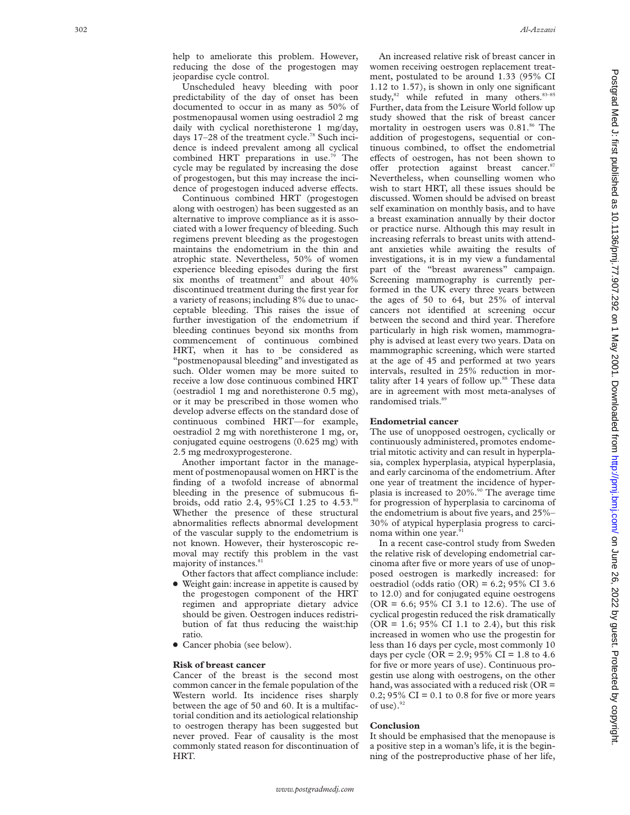help to ameliorate this problem. However, reducing the dose of the progestogen may jeopardise cycle control.

Unscheduled heavy bleeding with poor predictability of the day of onset has been documented to occur in as many as 50% of postmenopausal women using oestradiol 2 mg daily with cyclical norethisterone 1 mg/day, days 17–28 of the treatment cycle.<sup>78</sup> Such incidence is indeed prevalent among all cyclical combined HRT preparations in use.<sup>79</sup> The cycle may be regulated by increasing the dose of progestogen, but this may increase the incidence of progestogen induced adverse effects.

Continuous combined HRT (progestogen along with oestrogen) has been suggested as an alternative to improve compliance as it is associated with a lower frequency of bleeding. Such regimens prevent bleeding as the progestogen maintains the endometrium in the thin and atrophic state. Nevertheless, 50% of women experience bleeding episodes during the first six months of treatment<sup>57</sup> and about  $40\%$ discontinued treatment during the first year for a variety of reasons; including 8% due to unacceptable bleeding. This raises the issue of further investigation of the endometrium if bleeding continues beyond six months from commencement of continuous combined HRT, when it has to be considered as "postmenopausal bleeding" and investigated as such. Older women may be more suited to receive a low dose continuous combined HRT (oestradiol 1 mg and norethisterone 0.5 mg), or it may be prescribed in those women who develop adverse effects on the standard dose of continuous combined HRT—for example, oestradiol 2 mg with norethisterone 1 mg, or, conjugated equine oestrogens (0.625 mg) with 2.5 mg medroxyprogesterone.

Another important factor in the management of postmenopausal women on HRT is the finding of a twofold increase of abnormal bleeding in the presence of submucous fibroids, odd ratio 2.4, 95%CI 1.25 to 4.53.80 Whether the presence of these structural abnormalities reflects abnormal development of the vascular supply to the endometrium is not known. However, their hysteroscopic removal may rectify this problem in the vast majority of instances.<sup>81</sup>

- Other factors that affect compliance include: • Weight gain: increase in appetite is caused by the progestogen component of the HRT regimen and appropriate dietary advice should be given. Oestrogen induces redistribution of fat thus reducing the waist:hip ratio.
- Cancer phobia (see below).

#### **Risk of breast cancer**

Cancer of the breast is the second most common cancer in the female population of the Western world. Its incidence rises sharply between the age of 50 and 60. It is a multifactorial condition and its aetiological relationship to oestrogen therapy has been suggested but never proved. Fear of causality is the most commonly stated reason for discontinuation of HRT.

An increased relative risk of breast cancer in women receiving oestrogen replacement treatment, postulated to be around 1.33 (95% CI 1.12 to 1.57), is shown in only one significant study, $82$  while refuted in many others. $83-85$ Further, data from the Leisure World follow up study showed that the risk of breast cancer mortality in oestrogen users was  $0.81$ .<sup>86</sup> The addition of progestogens, sequential or continuous combined, to offset the endometrial effects of oestrogen, has not been shown to offer protection against breast cancer.<sup>8</sup> Nevertheless, when counselling women who wish to start HRT, all these issues should be discussed. Women should be advised on breast self examination on monthly basis, and to have a breast examination annually by their doctor or practice nurse. Although this may result in increasing referrals to breast units with attendant anxieties while awaiting the results of investigations, it is in my view a fundamental part of the "breast awareness" campaign. Screening mammography is currently performed in the UK every three years between the ages of 50 to 64, but 25% of interval cancers not identified at screening occur between the second and third year. Therefore particularly in high risk women, mammography is advised at least every two years. Data on mammographic screening, which were started at the age of 45 and performed at two years intervals, resulted in 25% reduction in mortality after 14 years of follow up.<sup>88</sup> These data are in agreement with most meta-analyses of randomised trials.<sup>8</sup>

#### **Endometrial cancer**

The use of unopposed oestrogen, cyclically or continuously administered, promotes endometrial mitotic activity and can result in hyperplasia, complex hyperplasia, atypical hyperplasia, and early carcinoma of the endometrium. After one year of treatment the incidence of hyperplasia is increased to 20%.<sup>90</sup> The average time for progression of hyperplasia to carcinoma of the endometrium is about five years, and 25%– 30% of atypical hyperplasia progress to carcinoma within one year.<sup>91</sup>

In a recent case-control study from Sweden the relative risk of developing endometrial carcinoma after five or more years of use of unopposed oestrogen is markedly increased: for oestradiol (odds ratio  $(OR) = 6.2$ ; 95% CI 3.6 to 12.0) and for conjugated equine oestrogens (OR = 6.6; 95% CI 3.1 to 12.6). The use of cyclical progestin reduced the risk dramatically  $(OR = 1.6; 95\% \text{ CI } 1.1 \text{ to } 2.4)$ , but this risk increased in women who use the progestin for less than 16 days per cycle, most commonly 10 days per cycle (OR =  $2.9$ ;  $95\%$  CI = 1.8 to 4.6 for five or more years of use). Continuous progestin use along with oestrogens, on the other hand, was associated with a reduced risk (OR =  $0.2$ ; 95% CI = 0.1 to 0.8 for five or more years of use). $92$ 

# **Conclusion**

It should be emphasised that the menopause is a positive step in a woman's life, it is the beginning of the postreproductive phase of her life,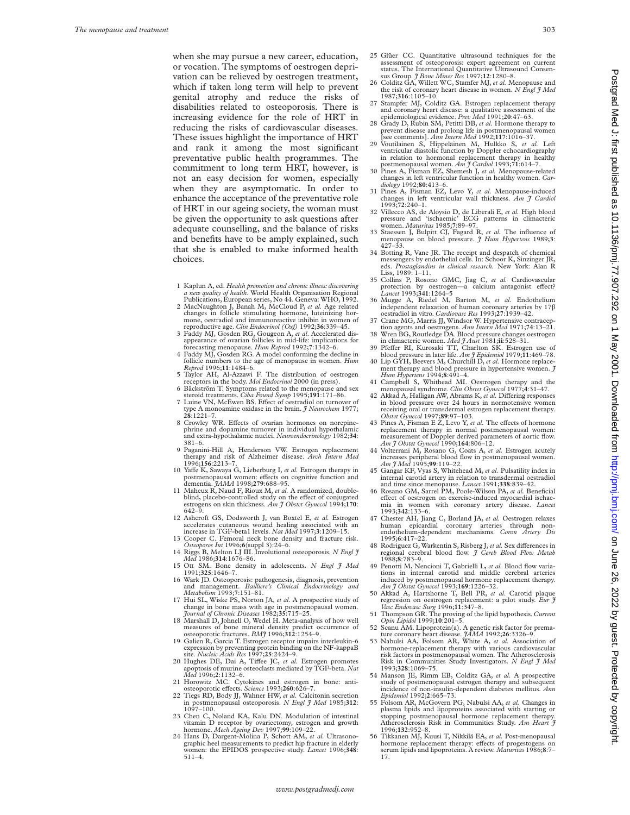when she may pursue a new career, education, or vocation. The symptoms of oestrogen deprivation can be relieved by oestrogen treatment, which if taken long term will help to prevent genital atrophy and reduce the risks of disabilities related to osteoporosis. There is increasing evidence for the role of HRT in reducing the risks of cardiovascular diseases. These issues highlight the importance of HRT and rank it among the most significant preventative public health programmes. The commitment to long term HRT, however, is not an easy decision for women, especially when they are asymptomatic. In order to enhance the acceptance of the preventative role of HRT in our ageing society, the woman must be given the opportunity to ask questions after adequate counselling, and the balance of risks and benefits have to be amply explained, such that she is enabled to make informed health choices.

- 1 Kaplun A, ed. *Health promotion and chronic illness: discovering a new quality of health*. World Health Organisation Regional Publications, European series, No 44. Geneva: WHO, 1992.
- 2 MacNaughton J, Banah M, McCloud P, *et al.* Age related changes in follicle stimulating hormone, luteinizing hormone, oestradiol and immunoreactive inhibin in women of reproductive age. *Clin Endocrinol (Oxf)* 1992;**36**:339–45.
- 3 Faddy MJ, Gosden RG, Gougeon A, *et al*. Accelerated disappearance of ovarian follicles in mid-life: implications for forecasting menopause. *Hum Reprod* 1992;**7**:1342–6.
- 4 Faddy MJ, Gosden RG. A model conforming the decline in follicle numbers to the age of menopause in women. *Hum Reprod* 1996;**11**:1484–6.
- 5 Taylor AH, Al-Azzawi F. The distribution of oestrogen receptors in the body. *Mol Endocrinol* 2000 (in press). 6 Bäckström T. Symptoms related to the menopause and sex
- steroid treatments. *Ciba Found Symp* 1995;191:171–86.<br>7 Luine VN, McEwen BS. Effect of oestradiol on turnover of
- type A monoamine oxidase in the brain. *J Neurochem* 1977; **<sup>28</sup>**:1221–7.
- 8 Crowley WR. Effects of ovarian hormones on norepine-<br>phrine and dopamine turnover in individual hypothalamic and extra-hypothalamic nuclei. *Neuroendocrinology* 1982;**34**: 381–6.
- 9 Paganini-Hill A, Henderson VW. Estrogen replacement therapy and risk of Alzheimer disease. *Arch Intern Med* 1996;**156**:2213–7.
- 10 Yaffe K, Sawaya G, Lieberburg I, et al. Estrogen therapy in postmenopausal women: effects on cognitive function and dementia. *JAMA* 1998;279:688-95.
- 11 Maheux R, Naud F, Rioux M, *et al.* A randomized, double-<br>blind, placebo-controlled study on the effect of conjugated<br>estrogens on skin thickness. *Am J Obstet Gynecol* 1994;**170**:<br>642–9.
- 12 Ashcroft GS, Dodsworth J, van Boxtel E, *et al.* Estrogen accelerates cutaneous wound healing associated with an increase in TGF-beta1 levels. *Nat Med* 1997;**3**:1209–15.
- 13 Cooper C. Femoral neck bone density and fracture risk. *Osteoporos Int* 1996;**6**(suppl 3):24–6. 14 Riggs B, Melton LJ III. Involutional osteoporosis. *N Engl J*
- *Med* 1986;**314**:1676–86. 15 Ott SM. Bone density in adolescents. *N Engl J Med*
- 1991;**325**:1646–7.
- 16 Wark JD. Osteoporosis: pathogenesis, diagnosis, prevention and management. *Bailliere's Clinical Endocrinology and Metabolism* 1993;**7**:151–81.
- 17 Hui SL, Wiske PS, Norton JA, *et al.* A prospective study of change in bone mass with age in postmenopausal women. *Journal of Chronic Diseases* 1982;**35**:715–25.
- 18 Marshall D, Johnell O, Wedel H. Meta-analysis of how well measures of bone mineral density predict occurrence of osceoporotic fractures.  $BMI$  1996;312:1254–9.<br>19 Galien R, Garcia T. Estrogen receptor impairs interleuki
- 
- 20 Hughes DE, Dai A, Tiffee JC, et al. Estrogen promotes apoptosis of murine osteoclasts mediated by TGF-beta. *Nat*
- 
- *Med* 1996;2:1132–6.<br>
21 Horowitz MC. Cytokines and estrogen in bone: anti-<br>
osteoporotic effects. *Science* 1993;**260**:626–7.<br>
22 Tiegs RD, Body JJ, Wahner HW, *et al*. Calcitonin secretion in postmenopausal osteoporosis. *N Engl J Med* 1985;**312**: 1097–100.
- 23 Chen C, Noland KA, Kalu DN. Modulation of intestinal vitamin D receptor by ovariectomy, estrogen and growth hormone. *Mech Ageing Dev* 1997;**99**:109–22. 24 Hans D, Dargent-Molina P, Schott AM, *et al.* Ultrasono-
- graphic heel measurements to predict hip fracture in elderly women: the EPIDOS prospective study. *Lancet* 1996;**348**: 511–4.
- 25 Glüer CC. Quantitative ultrasound techniques for the assessment of osteoporosis: expert agreement on current
- status. The International Quantitative Ultrasound Consen-<br>sus Group. *J Bone Miner Res* 1997;12:1280–8.<br>26 Colditz GA, Willett WC, Stamfer MJ, *et al.* Menopause and the risk of coronary heart disease in women. *N Engl J Med* 1987;**316**:1105–10.
- 27 Stampfer MJ, Colditz GA. Estrogen replacement therapy and coronary heart disease: a qualitative assessment of the epidemiological evidence. *Prev Med* 1991;**20**:47–63.
- 28 Grady D, Rubin SM, Petitti DB, *et al.* Hormone therapy to prevent disease and prolong life in postmenopausal women [see comments]. *Ann Intern Med* 1992;**117**:1016–37.
- 29 Voutilainen S, Hippeläinen M, Hulkko S, *et al.* Left ventricular diastolic function by Doppler echocardiography in relation to hormonal replacement therapy in healthy
- postmenopausal women. *Am J Cardiol* 1993;**71**:614–7. 30 Pines A, Fisman EZ, Shemesh J, *et al.* Menopause-related changes in left ventricular function in healthy women. *Car-diology* 1992;**80**:413–6.
- 31 Pines A, Fisman EZ, Levo Y, *et al.* Menopause-induced changes in left ventricular wall thickness. *Am J Cardiol* 1993;**72**:240–1.
- 32 Villecco AS, de Aloysio D, de Liberali E, *et al.* High blood pressure and 'ischaemic' ECG patterns in climacteric women. *Maturitas* 1985;**7**:89–97.
- 33 Staessen J, Bulpitt CJ, Fagard R, *et al.* The influence of menopause on blood pressure. *J Hum Hypertens* 1989;**3**: 427–33.
- 34 Botting R, Vane JR. The receipt and despatch of chemical messengers by endothelial cells. In: Schoor K, Sinzinger JR, eds. *Prostaglandins in clinical research.* New York: Alan R Liss, 1989: 1–11.
- 35 Collins P, Rosono GMC, Jiag C, *et al.* Cardiovascular protection by oestrogen—a calcium antagonist effect? *Lancet* 1993;341:1264–5
- 36 Mugge A, Riedel M, Barton M, *et al.* Endothelium independent relaxation of human coronary arteries by 17â oestradiol in vitro. *Cardiovasc Res* 1993;**27**:1939–42. Crane MG, Marris JJ, Windsor W. Hypertensive contracep-
- tion agents and oestrogens. *Ann Intern Med* 1971;**74**:13–21. 38 Wren BG, Routledge DA. Blood pressure changes oestrogen
- 
- in climacteric women. *Med J Aust* 1981; ii:528–31.<br>
39 Pfeffer RI, Kurosaki TT, Charlton SK. Estrogen use of<br>
blood pressure in later life. *Am J Epidemiol* 1979;11:469–78.<br>
40 Lip GYH, Beevers M, Churchill D, *et al.* H
- 41 Campbell S, Whithead MI. Oestrogen therapy and the menopausal syndrome. *Clin Obstet Gynecol* 1977;**4**:31–47.
- 42 Akkad A, Halligan AW, Abrams K, et al. Differing responses in blood pressure over 24 hours in normotensive women receiving oral or transdermal estrogen replacement therapy. *Obstet Gynecol* 1997;**89**:97–103.
- 43 Pines A, Fisman E Z, Levo Y, et al. The effects of hormone replacement therapy in normal postmenopausal women: measurement of Doppler derived parameters of aortic flow. *Am J Obstet Gynecol* 1990;**164**:806–12.
- 44 Volterrani M, Rosano G, Coats A, *et al.* Estrogen acutely increases peripheral blood flow in postmenopausal women. *Am J Med* 1995;**99**:119–22.
- 45 Gangar KF, Vyas S, Whitehead M, *et al.* Pulsatility index in internal carotid artery in relation to transdermal oestradiol and time since menopause. *Lancet* 1991;**338**:839–42. 46 Rosano GM, Sarrel PM, Poole-Wilson PA, *et al.* Beneficial
- effect of oestrogen on exercise-induced myocardial ischae-<br>mia in women with coronary artery disease. *Lancet* 1993;**342**:133–6.
- 47 Chester AH, Jiang C, Borland JA, *et al.* Oestrogen relaxes human epicardial coronary arteries through non-endothelium-dependent mechanisms. *Coron Artery Dis* 1995;**6**:417–22.
- 48 Rodriguez G, Warkentin S, Risberg J, et al. Sex differences in regional cerebral blood flow. *J Cereb Blood Flow Metab* 1988;**8**:783–9.
- 49 Penotti M, Nencioni T, Gabrielli L, *et al.* Blood flow variations in internal carotid and middle cerebral arteries induced by postmenopausal hormone replacement therapy.  $Am \mathcal{J} Obset Gynecol$  1993;169:1226–32.
- 50 Akkad A, Hartshorne T, Bell PR, *et al*. Carotid plaque regression on oestrogen replacement: a pilot study. *Eur J Vasc Endovasc Surg* 1996;**11**:347–8.
- 51 Thompson GR. The proving of the lipid hypothesis. *Current Opin Lipidol* 1999;**10**:201–5. Scanu AM. Lipoprotein(a). A genetic risk factor for prema-
- 
- ture coronary heart disease. *JAMA* 1992;**26**:3326–9. 53 Nabulsi AA, Folsom AR, White A, *et al.* Association of hormone-replacement therapy with various cardiovascular risk factors in postmenopausal women. The Atherosclerosis Risk in Communities Study Investigators. *N Engl J Med* 1993;**328**:1069–75.
- 54 Manson JE, Rimm EB, Colditz GA, *et al.* A prospective study of postmenopausal estrogen therapy and subsequent incidence of non-insulin-dependent diabetes mellitus. *Ann Epidemiol* 1992;**2**:665–73.
- 55 Folsom AR, McGovern PG, Nabulsi AA, *et al.* Changes in plasma lipids and lipoproteins associated with starting or stopping postmenopausal hormone replacement therapy. Atherosclerosis Risk in Communities Study. *Am Heart J* 1996;**132**:952–8.
- 56 Tikkanen MJ, Kuusi T, Nikkilä EA, *et al.* Post-menopausal hormone replacement therapy: effects of progestogens on serum lipids and lipoproteins. A review. *Maturitas* 1986;8:7– 17.